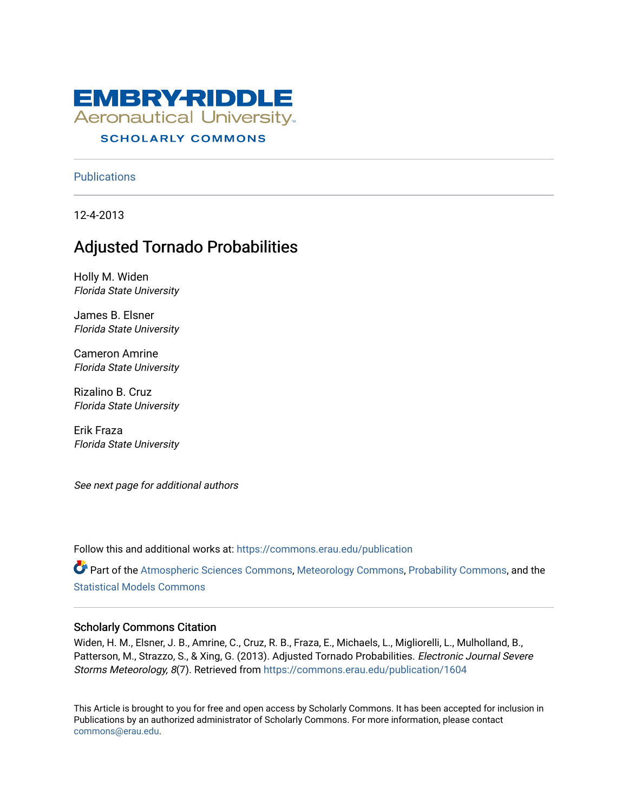

# **SCHOLARLY COMMONS**

**Publications** 

12-4-2013

# Adjusted Tornado Probabilities

Holly M. Widen Florida State University

James B. Elsner Florida State University

Cameron Amrine Florida State University

Rizalino B. Cruz Florida State University

Erik Fraza Florida State University

See next page for additional authors

Follow this and additional works at: [https://commons.erau.edu/publication](https://commons.erau.edu/publication?utm_source=commons.erau.edu%2Fpublication%2F1604&utm_medium=PDF&utm_campaign=PDFCoverPages) 

Part of the [Atmospheric Sciences Commons](http://network.bepress.com/hgg/discipline/187?utm_source=commons.erau.edu%2Fpublication%2F1604&utm_medium=PDF&utm_campaign=PDFCoverPages), [Meteorology Commons,](http://network.bepress.com/hgg/discipline/190?utm_source=commons.erau.edu%2Fpublication%2F1604&utm_medium=PDF&utm_campaign=PDFCoverPages) [Probability Commons](http://network.bepress.com/hgg/discipline/212?utm_source=commons.erau.edu%2Fpublication%2F1604&utm_medium=PDF&utm_campaign=PDFCoverPages), and the [Statistical Models Commons](http://network.bepress.com/hgg/discipline/827?utm_source=commons.erau.edu%2Fpublication%2F1604&utm_medium=PDF&utm_campaign=PDFCoverPages)

# Scholarly Commons Citation

Widen, H. M., Elsner, J. B., Amrine, C., Cruz, R. B., Fraza, E., Michaels, L., Migliorelli, L., Mulholland, B., Patterson, M., Strazzo, S., & Xing, G. (2013). Adjusted Tornado Probabilities. Electronic Journal Severe Storms Meteorology, 8(7). Retrieved from [https://commons.erau.edu/publication/1604](https://commons.erau.edu/publication/1604?utm_source=commons.erau.edu%2Fpublication%2F1604&utm_medium=PDF&utm_campaign=PDFCoverPages)

This Article is brought to you for free and open access by Scholarly Commons. It has been accepted for inclusion in Publications by an authorized administrator of Scholarly Commons. For more information, please contact [commons@erau.edu](mailto:commons@erau.edu).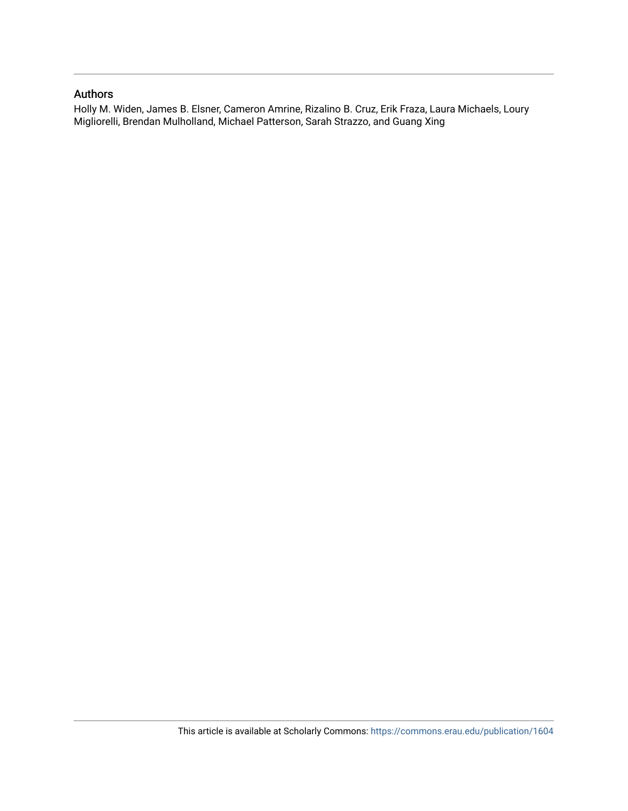## Authors

Holly M. Widen, James B. Elsner, Cameron Amrine, Rizalino B. Cruz, Erik Fraza, Laura Michaels, Loury Migliorelli, Brendan Mulholland, Michael Patterson, Sarah Strazzo, and Guang Xing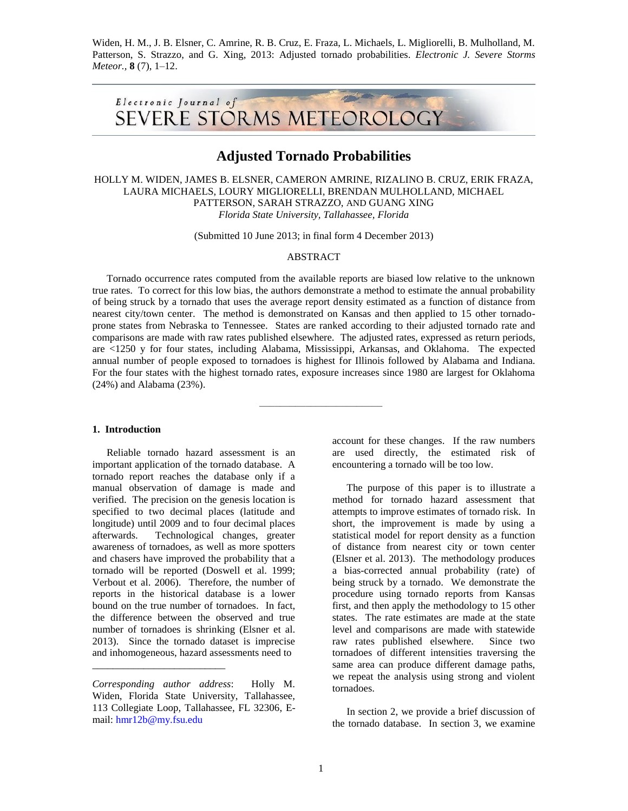Widen, H. M., J. B. Elsner, C. Amrine, R. B. Cruz, E. Fraza, L. Michaels, L. Migliorelli, B. Mulholland, M. Patterson, S. Strazzo, and G. Xing, 2013: Adjusted tornado probabilities. *Electronic J. Severe Storms Meteor.,* **8** (7), 1–12.



# **Adjusted Tornado Probabilities**

HOLLY M. WIDEN, JAMES B. ELSNER, CAMERON AMRINE, RIZALINO B. CRUZ, ERIK FRAZA, LAURA MICHAELS, LOURY MIGLIORELLI, BRENDAN MULHOLLAND, MICHAEL PATTERSON, SARAH STRAZZO, AND GUANG XING *Florida State University, Tallahassee, Florida*

(Submitted 10 June 2013; in final form 4 December 2013)

#### ABSTRACT

Tornado occurrence rates computed from the available reports are biased low relative to the unknown true rates. To correct for this low bias, the authors demonstrate a method to estimate the annual probability of being struck by a tornado that uses the average report density estimated as a function of distance from nearest city/town center. The method is demonstrated on Kansas and then applied to 15 other tornadoprone states from Nebraska to Tennessee. States are ranked according to their adjusted tornado rate and comparisons are made with raw rates published elsewhere. The adjusted rates, expressed as return periods, are <1250 y for four states, including Alabama, Mississippi, Arkansas, and Oklahoma. The expected annual number of people exposed to tornadoes is highest for Illinois followed by Alabama and Indiana. For the four states with the highest tornado rates, exposure increases since 1980 are largest for Oklahoma (24%) and Alabama (23%).

––––––––––––––––––––––––

#### **1. Introduction**

Reliable tornado hazard assessment is an important application of the tornado database. A tornado report reaches the database only if a manual observation of damage is made and verified. The precision on the genesis location is specified to two decimal places (latitude and longitude) until 2009 and to four decimal places afterwards. Technological changes, greater awareness of tornadoes, as well as more spotters and chasers have improved the probability that a tornado will be reported (Doswell et al. 1999; Verbout et al. 2006). Therefore, the number of reports in the historical database is a lower bound on the true number of tornadoes. In fact, the difference between the observed and true number of tornadoes is shrinking (Elsner et al. 2013). Since the tornado dataset is imprecise and inhomogeneous, hazard assessments need to

\_\_\_\_\_\_\_\_\_\_\_\_\_\_\_\_\_\_\_\_\_\_\_\_\_\_

account for these changes. If the raw numbers are used directly, the estimated risk of encountering a tornado will be too low.

The purpose of this paper is to illustrate a method for tornado hazard assessment that attempts to improve estimates of tornado risk. In short, the improvement is made by using a statistical model for report density as a function of distance from nearest city or town center (Elsner et al. 2013). The methodology produces a bias-corrected annual probability (rate) of being struck by a tornado. We demonstrate the procedure using tornado reports from Kansas first, and then apply the methodology to 15 other states. The rate estimates are made at the state level and comparisons are made with statewide raw rates published elsewhere. Since two tornadoes of different intensities traversing the same area can produce different damage paths, we repeat the analysis using strong and violent tornadoes.

In section 2, we provide a brief discussion of the tornado database. In section 3, we examine

*Corresponding author address*: Holly M. Widen, Florida State University, Tallahassee, 113 Collegiate Loop, Tallahassee, FL 32306, Email: [hmr12b@my.fsu.edu](mailto:hmr12b@my.fsu.edu)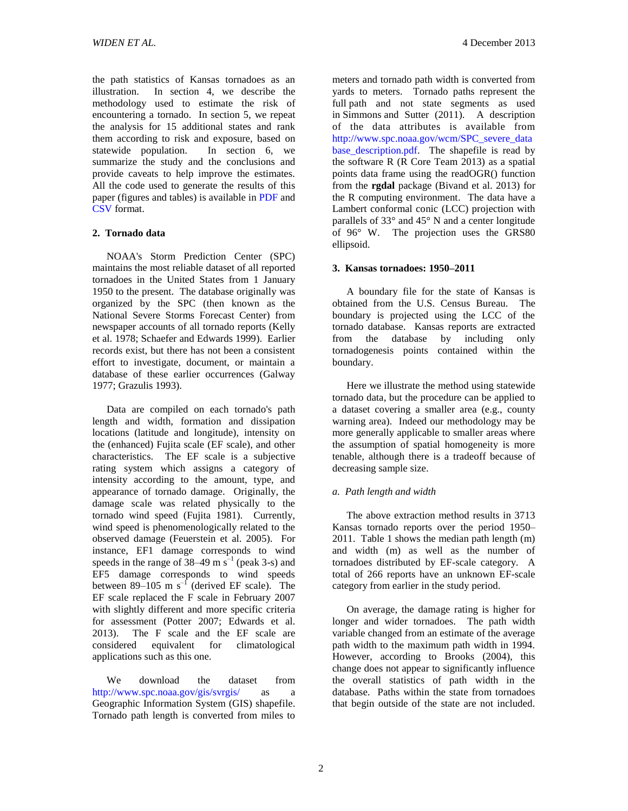the path statistics of Kansas tornadoes as an illustration. In section 4, we describe the methodology used to estimate the risk of encountering a tornado. In section 5, we repeat the analysis for 15 additional states and rank them according to risk and exposure, based on statewide population. In section 6, we summarize the study and the conclusions and provide caveats to help improve the estimates. All the code used to generate the results of this paper (figures and tables) is available i[n PDF](http://ejssm.org/ojs/public/vol8-7/AdjustedTornadoProbabilities_FullCode.pdf) and [CSV](http://ejssm.org/ojs/public/vol8-7/TornadoData.csv) format.

## **2. Tornado data**

NOAA's Storm Prediction Center (SPC) maintains the most reliable dataset of all reported tornadoes in the United States from 1 January 1950 to the present. The database originally was organized by the SPC (then known as the National Severe Storms Forecast Center) from newspaper accounts of all tornado reports (Kelly et al. 1978; Schaefer and Edwards 1999). Earlier records exist, but there has not been a consistent effort to investigate, document, or maintain a database of these earlier occurrences (Galway 1977; Grazulis 1993).

Data are compiled on each tornado's path length and width, formation and dissipation locations (latitude and longitude), intensity on the (enhanced) Fujita scale (EF scale), and other characteristics. The EF scale is a subjective rating system which assigns a category of intensity according to the amount, type, and appearance of tornado damage. Originally, the damage scale was related physically to the tornado wind speed (Fujita 1981). Currently, wind speed is phenomenologically related to the observed damage (Feuerstein et al. 2005). For instance, EF1 damage corresponds to wind speeds in the range of  $38-49$  m s<sup>-1</sup> (peak 3-s) and EF5 damage corresponds to wind speeds between  $89-105$  m s<sup>-1</sup> (derived EF scale). The EF scale replaced the F scale in February 2007 with slightly different and more specific criteria for assessment (Potter 2007; Edwards et al. 2013). The F scale and the EF scale are considered equivalent for climatological applications such as this one.

We download the dataset from <http://www.spc.noaa.gov/gis/svrgis/> as a Geographic Information System (GIS) shapefile. Tornado path length is converted from miles to

*WIDEN ET AL.* 4 December 2013

meters and tornado path width is converted from yards to meters. Tornado paths represent the full path and not state segments as used in Simmons and Sutter (2011). A description of the data attributes is available from [http://www.spc.noaa.gov/wcm/SPC\\_severe\\_data](http://www.spc.noaa.gov/wcm/SPC_severe_database_description.pdf) [base\\_description.pdf.](http://www.spc.noaa.gov/wcm/SPC_severe_database_description.pdf) The shapefile is read by the software R (R Core Team 2013) as a spatial points data frame using the readOGR() function from the **rgdal** package (Bivand et al. 2013) for the R computing environment. The data have a Lambert conformal conic (LCC) projection with parallels of 33° and 45° N and a center longitude of 96° W. The projection uses the GRS80 ellipsoid.

#### **3. Kansas tornadoes: 1950–2011**

A boundary file for the state of Kansas is obtained from the U.S. Census Bureau. The boundary is projected using the LCC of the tornado database. Kansas reports are extracted from the database by including only tornadogenesis points contained within the boundary.

Here we illustrate the method using statewide tornado data, but the procedure can be applied to a dataset covering a smaller area (e.g., county warning area). Indeed our methodology may be more generally applicable to smaller areas where the assumption of spatial homogeneity is more tenable, although there is a tradeoff because of decreasing sample size.

## *a. Path length and width*

The above extraction method results in 3713 Kansas tornado reports over the period 1950– 2011. Table 1 shows the median path length (m) and width (m) as well as the number of tornadoes distributed by EF-scale category. A total of 266 reports have an unknown EF-scale category from earlier in the study period.

On average, the damage rating is higher for longer and wider tornadoes. The path width variable changed from an estimate of the average path width to the maximum path width in 1994. However, according to Brooks (2004), this change does not appear to significantly influence the overall statistics of path width in the database. Paths within the state from tornadoes that begin outside of the state are not included.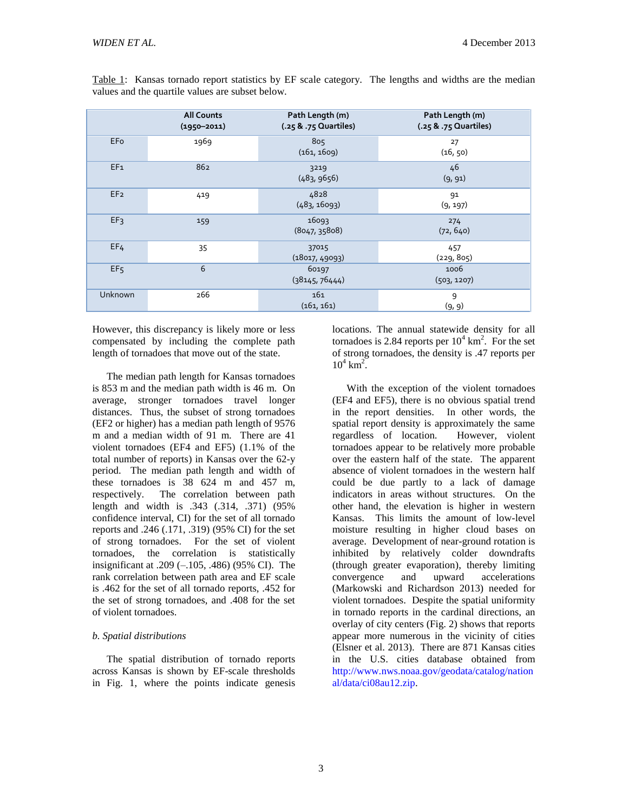|                 | <b>All Counts</b><br>$(1950 - 2011)$ | Path Length (m)<br>(.25 & .75 Quartiles) | Path Length (m)<br>(.25 & .75 Quartiles) |
|-----------------|--------------------------------------|------------------------------------------|------------------------------------------|
| EFo             | 1969                                 | 805<br>(161, 1609)                       | 27<br>(16, 50)                           |
| EF <sub>1</sub> | 862                                  | 3219<br>(483, 9656)                      | 46<br>(9, 91)                            |
| EF <sub>2</sub> | 419                                  | 4828<br>(483, 16093)                     | 91<br>(9, 197)                           |
| EF3             | 159                                  | 16093<br>(8047, 35808)                   | 274<br>(72, 640)                         |
| EF <sub>4</sub> | 35                                   | 37015<br>(18017, 49093)                  | 457<br>(229, 805)                        |
| EF <sub>5</sub> | 6                                    | 60197<br>(38145, 76444)                  | 1006<br>(503, 1207)                      |
| Unknown         | 266                                  | 161<br>(161, 161)                        | 9<br>(9, 9)                              |

Table 1: Kansas tornado report statistics by EF scale category. The lengths and widths are the median values and the quartile values are subset below.

However, this discrepancy is likely more or less compensated by including the complete path length of tornadoes that move out of the state.

The median path length for Kansas tornadoes is 853 m and the median path width is 46 m. On average, stronger tornadoes travel longer distances. Thus, the subset of strong tornadoes (EF2 or higher) has a median path length of 9576 m and a median width of 91 m. There are 41 violent tornadoes (EF4 and EF5) (1.1% of the total number of reports) in Kansas over the 62-y period. The median path length and width of these tornadoes is 38 624 m and 457 m, respectively. The correlation between path length and width is .343 (.314, .371) (95% confidence interval, CI) for the set of all tornado reports and .246 (.171, .319) (95% CI) for the set of strong tornadoes. For the set of violent tornadoes, the correlation is statistically insignificant at  $.209$  ( $-.105$ ,  $.486$ ) (95% CI). The rank correlation between path area and EF scale is .462 for the set of all tornado reports, .452 for the set of strong tornadoes, and .408 for the set of violent tornadoes.

## *b. Spatial distributions*

The spatial distribution of tornado reports across Kansas is shown by EF-scale thresholds in Fig. 1, where the points indicate genesis locations. The annual statewide density for all tornadoes is 2.84 reports per  $10^4$  km<sup>2</sup>. For the set of strong tornadoes, the density is .47 reports per  $10^4 \text{ km}^2$ .

With the exception of the violent tornadoes (EF4 and EF5), there is no obvious spatial trend in the report densities. In other words, the spatial report density is approximately the same regardless of location. However, violent tornadoes appear to be relatively more probable over the eastern half of the state. The apparent absence of violent tornadoes in the western half could be due partly to a lack of damage indicators in areas without structures. On the other hand, the elevation is higher in western Kansas. This limits the amount of low-level moisture resulting in higher cloud bases on average. Development of near-ground rotation is inhibited by relatively colder downdrafts (through greater evaporation), thereby limiting convergence and upward accelerations (Markowski and Richardson 2013) needed for violent tornadoes. Despite the spatial uniformity in tornado reports in the cardinal directions, an overlay of city centers (Fig. 2) shows that reports appear more numerous in the vicinity of cities (Elsner et al. 2013). There are 871 Kansas cities in the U.S. cities database obtained from [http://www.nws.noaa.gov/geodata/catalog/nation](http://www.nws.noaa.gov/geodata/catalog/national/data/ci08au12.zip) [al/data/ci08au12.zip.](http://www.nws.noaa.gov/geodata/catalog/national/data/ci08au12.zip)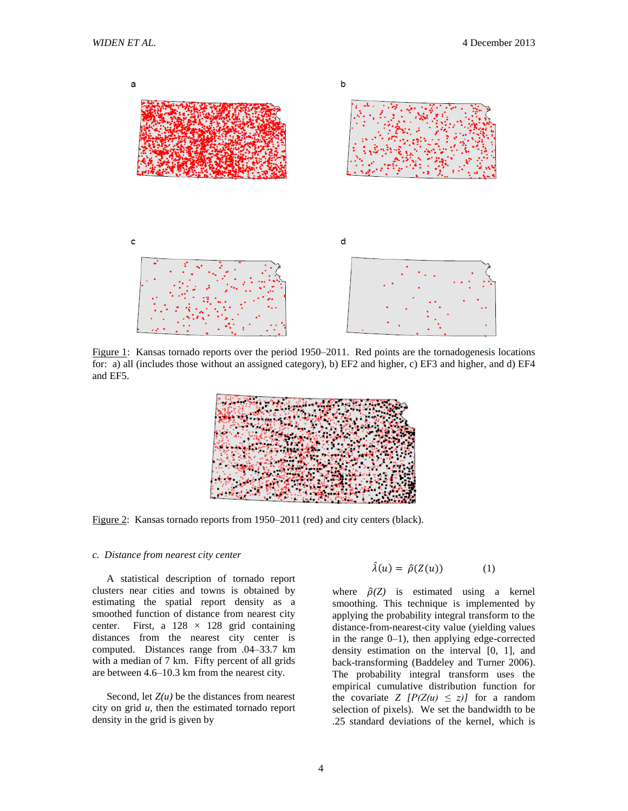

Figure 1: Kansas tornado reports over the period 1950–2011. Red points are the tornadogenesis locations for: a) all (includes those without an assigned category), b) EF2 and higher, c) EF3 and higher, and d) EF4 and EF5.



Figure 2: Kansas tornado reports from 1950–2011 (red) and city centers (black).

#### *c. Distance from nearest city center*

A statistical description of tornado report clusters near cities and towns is obtained by estimating the spatial report density as a smoothed function of distance from nearest city center. First, a  $128 \times 128$  grid containing distances from the nearest city center is computed. Distances range from .04–33.7 km with a median of 7 km. Fifty percent of all grids are between 4.6–10.3 km from the nearest city.

Second, let  $Z(u)$  be the distances from nearest city on grid *u*, then the estimated tornado report density in the grid is given by

$$
\hat{\lambda}(u) = \hat{\rho}(Z(u)) \tag{1}
$$

where  $\hat{\rho}(Z)$  is estimated using a kernel smoothing. This technique is implemented by applying the probability integral transform to the distance-from-nearest-city value (yielding values in the range  $0-1$ ), then applying edge-corrected density estimation on the interval [0, 1], and back-transforming (Baddeley and Turner 2006). The probability integral transform uses the empirical cumulative distribution function for the covariate *Z*  $[P(Z(u) \le z)]$  for a random selection of pixels). We set the bandwidth to be .25 standard deviations of the kernel, which is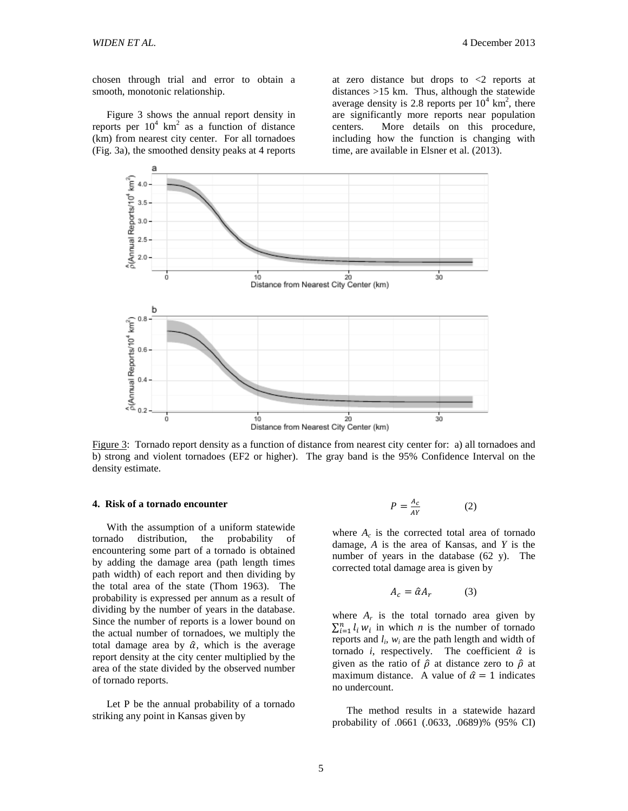chosen through trial and error to obtain a smooth, monotonic relationship.

Figure 3 shows the annual report density in reports per  $10^4$  km<sup>2</sup> as a function of distance (km) from nearest city center. For all tornadoes (Fig. 3a), the smoothed density peaks at 4 reports

at zero distance but drops to  $\langle 2 \rangle$  reports at distances >15 km. Thus, although the statewide average density is 2.8 reports per  $10^4$  km<sup>2</sup>, there are significantly more reports near population centers. More details on this procedure, including how the function is changing with time, are available in Elsner et al. (2013).



Figure 3: Tornado report density as a function of distance from nearest city center for: a) all tornadoes and b) strong and violent tornadoes (EF2 or higher). The gray band is the 95% Confidence Interval on the density estimate.

#### **4. Risk of a tornado encounter**

With the assumption of a uniform statewide tornado distribution, the probability of encountering some part of a tornado is obtained by adding the damage area (path length times path width) of each report and then dividing by the total area of the state (Thom 1963). The probability is expressed per annum as a result of dividing by the number of years in the database. Since the number of reports is a lower bound on the actual number of tornadoes, we multiply the total damage area by  $\hat{\alpha}$ , which is the average report density at the city center multiplied by the area of the state divided by the observed number of tornado reports.

Let P be the annual probability of a tornado striking any point in Kansas given by

$$
P = \frac{A_C}{AY} \tag{2}
$$

where  $A_c$  is the corrected total area of tornado damage, *A* is the area of Kansas, and *Y* is the number of years in the database (62 y). The corrected total damage area is given by

$$
A_c = \hat{\alpha} A_r \tag{3}
$$

where  $A_r$  is the total tornado area given by  $\sum_{i=1}^{n} l_i w_i$  in which *n* is the number of tornado reports and  $l_i$ ,  $w_i$  are the path length and width of tornado *i*, respectively. The coefficient  $\hat{\alpha}$  is given as the ratio of  $\hat{\rho}$  at distance zero to  $\hat{\rho}$  at maximum distance. A value of  $\hat{\alpha} = 1$  indicates no undercount.

The method results in a statewide hazard probability of .0661 (.0633, .0689)% (95% CI)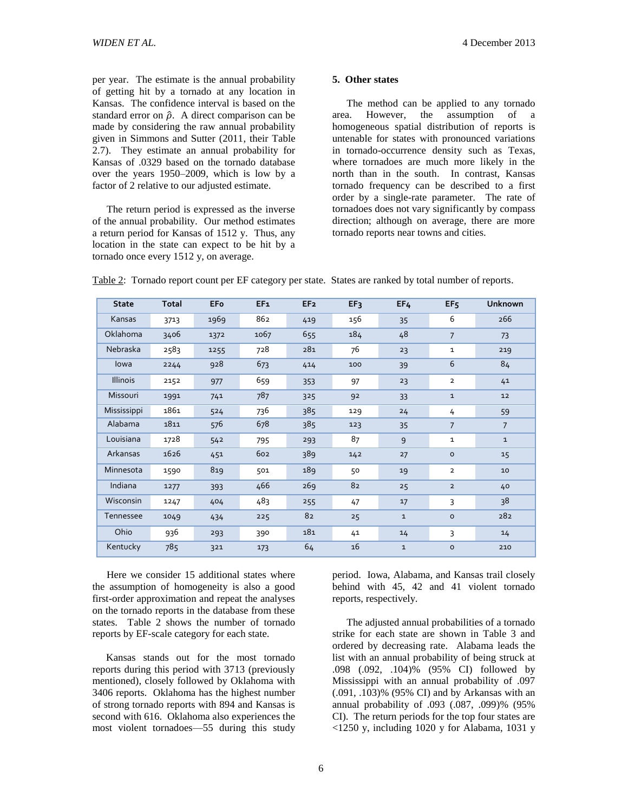per year. The estimate is the annual probability of getting hit by a tornado at any location in Kansas. The confidence interval is based on the standard error on  $\hat{\rho}$ . A direct comparison can be made by considering the raw annual probability given in Simmons and Sutter (2011, their Table 2.7). They estimate an annual probability for Kansas of .0329 based on the tornado database over the years 1950–2009, which is low by a factor of 2 relative to our adjusted estimate.

The return period is expressed as the inverse of the annual probability. Our method estimates a return period for Kansas of 1512 y. Thus, any location in the state can expect to be hit by a tornado once every 1512 y, on average.

#### **5. Other states**

The method can be applied to any tornado area. However, the assumption of a homogeneous spatial distribution of reports is untenable for states with pronounced variations in tornado-occurrence density such as Texas, where tornadoes are much more likely in the north than in the south. In contrast, Kansas tornado frequency can be described to a first order by a single-rate parameter. The rate of tornadoes does not vary significantly by compass direction; although on average, there are more tornado reports near towns and cities.

| <b>State</b>    | Total | <b>EFo</b> | EF <sub>1</sub> | EF <sub>2</sub> | EF3 | EF4          | EF <sub>5</sub> | <b>Unknown</b> |
|-----------------|-------|------------|-----------------|-----------------|-----|--------------|-----------------|----------------|
| Kansas          | 3713  | 1969       | 862             | 419             | 156 | 35           | 6               | 266            |
| Oklahoma        | 3406  | 1372       | 1067            | 655             | 184 | 48           | $\overline{7}$  | 73             |
| Nebraska        | 2583  | 1255       | 728             | 281             | 76  | 23           | $\mathbf{1}$    | 219            |
| lowa            | 2244  | 928        | 673             | 414             | 100 | 39           | 6               | 84             |
| <b>Illinois</b> | 2152  | 977        | 659             | 353             | 97  | 23           | $\overline{2}$  | 41             |
| Missouri        | 1991  | 741        | 787             | 325             | 92  | 33           | $\mathbf{1}$    | 12             |
| Mississippi     | 1861  | 524        | 736             | 385             | 129 | 24           | 4               | 59             |
| Alabama         | 1811  | 576        | 678             | 385             | 123 | 35           | $\overline{7}$  | $\overline{7}$ |
| Louisiana       | 1728  | 542        | 795             | 293             | 87  | 9            | $\mathbf{1}$    | $\mathbf 1$    |
| Arkansas        | 1626  | 451        | 602             | 389             | 142 | 27           | $\circ$         | 15             |
| Minnesota       | 1590  | 819        | 501             | 189             | 50  | 19           | $\overline{2}$  | 10             |
| Indiana         | 1277  | 393        | 466             | 269             | 82  | 25           | $\overline{2}$  | 40             |
| Wisconsin       | 1247  | 404        | 483             | 255             | 47  | 17           | 3               | 38             |
| Tennessee       | 1049  | 434        | 225             | 82              | 25  | $\mathbf 1$  | $\circ$         | 282            |
| Ohio            | 936   | 293        | 390             | 181             | 41  | 14           | 3               | 14             |
| Kentucky        | 785   | 321        | 173             | 64              | 16  | $\mathbf{1}$ | $\circ$         | 210            |

Table 2: Tornado report count per EF category per state. States are ranked by total number of reports.

Here we consider 15 additional states where the assumption of homogeneity is also a good first-order approximation and repeat the analyses on the tornado reports in the database from these states. Table 2 shows the number of tornado reports by EF-scale category for each state.

Kansas stands out for the most tornado reports during this period with 3713 (previously mentioned), closely followed by Oklahoma with 3406 reports. Oklahoma has the highest number of strong tornado reports with 894 and Kansas is second with 616. Oklahoma also experiences the most violent tornadoes—55 during this study period. Iowa, Alabama, and Kansas trail closely behind with 45, 42 and 41 violent tornado reports, respectively.

The adjusted annual probabilities of a tornado strike for each state are shown in Table 3 and ordered by decreasing rate. Alabama leads the list with an annual probability of being struck at .098 (.092, .104)% (95% CI) followed by Mississippi with an annual probability of .097 (.091, .103)% (95% CI) and by Arkansas with an annual probability of .093 (.087, .099)% (95% CI). The return periods for the top four states are <1250 y, including 1020 y for Alabama, 1031 y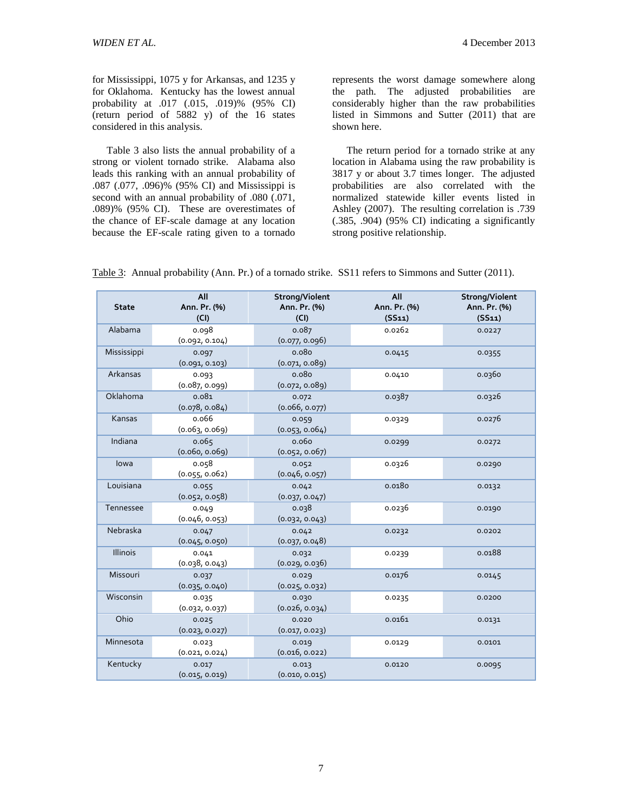for Mississippi, 1075 y for Arkansas, and 1235 y for Oklahoma. Kentucky has the lowest annual probability at .017 (.015, .019)% (95% CI) (return period of 5882 y) of the 16 states considered in this analysis.

Table 3 also lists the annual probability of a strong or violent tornado strike. Alabama also leads this ranking with an annual probability of .087 (.077, .096)% (95% CI) and Mississippi is second with an annual probability of .080 (.071, .089)% (95% CI). These are overestimates of the chance of EF-scale damage at any location because the EF-scale rating given to a tornado

represents the worst damage somewhere along the path. The adjusted probabilities are considerably higher than the raw probabilities listed in Simmons and Sutter (2011) that are shown here.

The return period for a tornado strike at any location in Alabama using the raw probability is 3817 y or about 3.7 times longer. The adjusted probabilities are also correlated with the normalized statewide killer events listed in Ashley (2007). The resulting correlation is .739 (.385, .904) (95% CI) indicating a significantly strong positive relationship.

Table 3: Annual probability (Ann. Pr.) of a tornado strike. SS11 refers to Simmons and Sutter (2011).

| <b>State</b>    | All<br>Ann. Pr. (%)<br>(CI) | Strong/Violent<br>Ann. Pr. (%)<br>(CI) | All<br>Ann. Pr. (%)<br>(SS11) | Strong/Violent<br>Ann. Pr. (%)<br>(SS11) |
|-----------------|-----------------------------|----------------------------------------|-------------------------------|------------------------------------------|
| Alabama         | 0.098<br>(0.092, 0.104)     | 0.087<br>(0.077, 0.096)                | 0.0262                        | 0.0227                                   |
| Mississippi     | 0.097<br>(0.091, 0.103)     | 0.080<br>(0.071, 0.089)                | 0.0415                        | 0.0355                                   |
| Arkansas        | 0.093<br>(0.087, 0.099)     | 0.080<br>(0.072, 0.089)                | 0.0410                        | 0.0360                                   |
| Oklahoma        | 0.081<br>(0.078, 0.084)     | 0.072<br>(0.066, 0.077)                | 0.0387                        | 0.0326                                   |
| Kansas          | 0.066<br>(0.063, 0.069)     | 0.059<br>(0.053, 0.064)                | 0.0329                        | 0.0276                                   |
| Indiana         | 0.065<br>(0.060, 0.069)     | 0.060<br>(0.052, 0.067)                | 0.0299                        | 0.0272                                   |
| lowa            | 0.058<br>(0.055, 0.062)     | 0.052<br>(0.046, 0.057)                | 0.0326                        | 0.0290                                   |
| Louisiana       | 0.055<br>(0.052, 0.058)     | 0.042<br>(0.037, 0.047)                | 0.0180                        | 0.0132                                   |
| Tennessee       | 0.049<br>(0.046, 0.053)     | 0.038<br>(0.032, 0.043)                | 0.0236                        | 0.0190                                   |
| Nebraska        | 0.047<br>(0.045, 0.050)     | 0.042<br>(0.037, 0.048)                | 0.0232                        | 0.0202                                   |
| <b>Illinois</b> | 0.041<br>(0.038, 0.043)     | 0.032<br>(0.029, 0.036)                | 0.0239                        | 0.0188                                   |
| Missouri        | 0.037<br>(0.035, 0.040)     | 0.029<br>(0.025, 0.032)                | 0.0176                        | 0.0145                                   |
| Wisconsin       | 0.035<br>(0.032, 0.037)     | 0.030<br>(0.026, 0.034)                | 0.0235                        | 0.0200                                   |
| Ohio            | 0.025<br>(0.023, 0.027)     | 0.020<br>(0.017, 0.023)                | 0.0161                        | 0.0131                                   |
| Minnesota       | 0.023<br>(0.021, 0.024)     | 0.019<br>(0.016, 0.022)                | 0.0129                        | 0.0101                                   |
| Kentucky        | 0.017<br>(0.015, 0.019)     | 0.013<br>(0.010, 0.015)                | 0.0120                        | 0.0095                                   |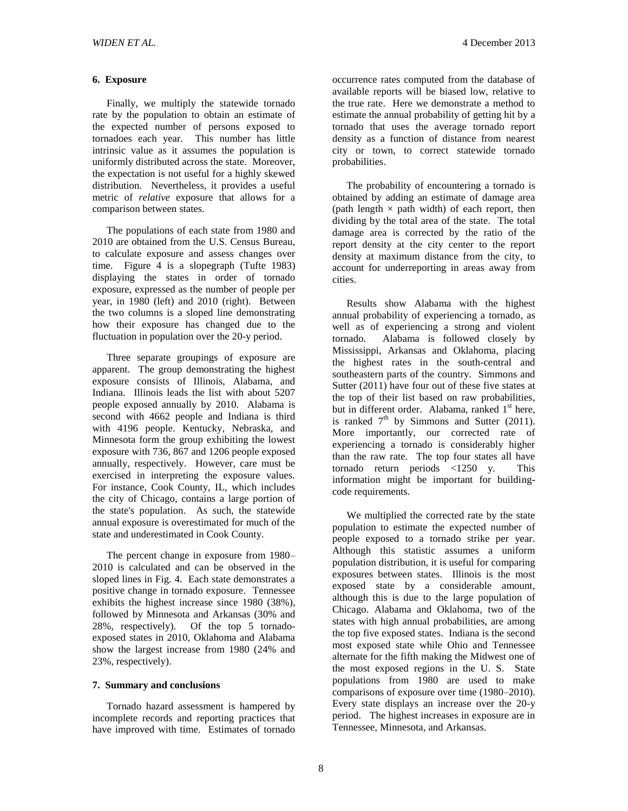## **6. Exposure**

Finally, we multiply the statewide tornado rate by the population to obtain an estimate of the expected number of persons exposed to tornadoes each year. This number has little intrinsic value as it assumes the population is uniformly distributed across the state. Moreover, the expectation is not useful for a highly skewed distribution. Nevertheless, it provides a useful metric of *relative* exposure that allows for a comparison between states.

The populations of each state from 1980 and 2010 are obtained from the U.S. Census Bureau, to calculate exposure and assess changes over time. Figure 4 is a slopegraph (Tufte 1983) displaying the states in order of tornado exposure, expressed as the number of people per year, in 1980 (left) and 2010 (right). Between the two columns is a sloped line demonstrating how their exposure has changed due to the fluctuation in population over the 20-y period.

Three separate groupings of exposure are apparent. The group demonstrating the highest exposure consists of Illinois, Alabama, and Indiana. Illinois leads the list with about 5207 people exposed annually by 2010. Alabama is second with 4662 people and Indiana is third with 4196 people. Kentucky, Nebraska, and Minnesota form the group exhibiting the lowest exposure with 736, 867 and 1206 people exposed annually, respectively. However, care must be exercised in interpreting the exposure values. For instance, Cook County, IL, which includes the city of Chicago, contains a large portion of the state's population. As such, the statewide annual exposure is overestimated for much of the state and underestimated in Cook County.

The percent change in exposure from 1980– 2010 is calculated and can be observed in the sloped lines in Fig. 4. Each state demonstrates a positive change in tornado exposure. Tennessee exhibits the highest increase since 1980 (38%), followed by Minnesota and Arkansas (30% and 28%, respectively). Of the top 5 tornadoexposed states in 2010, Oklahoma and Alabama show the largest increase from 1980 (24% and 23%, respectively).

## **7. Summary and conclusions**

Tornado hazard assessment is hampered by incomplete records and reporting practices that have improved with time. Estimates of tornado

occurrence rates computed from the database of available reports will be biased low, relative to the true rate. Here we demonstrate a method to estimate the annual probability of getting hit by a tornado that uses the average tornado report density as a function of distance from nearest city or town, to correct statewide tornado probabilities.

The probability of encountering a tornado is obtained by adding an estimate of damage area (path length  $\times$  path width) of each report, then dividing by the total area of the state. The total damage area is corrected by the ratio of the report density at the city center to the report density at maximum distance from the city, to account for underreporting in areas away from cities.

Results show Alabama with the highest annual probability of experiencing a tornado, as well as of experiencing a strong and violent tornado. Alabama is followed closely by Mississippi, Arkansas and Oklahoma, placing the highest rates in the south-central and southeastern parts of the country. Simmons and Sutter (2011) have four out of these five states at the top of their list based on raw probabilities, but in different order. Alabama, ranked  $1<sup>st</sup>$  here, is ranked  $7<sup>th</sup>$  by Simmons and Sutter (2011). More importantly, our corrected rate of experiencing a tornado is considerably higher than the raw rate. The top four states all have tornado return periods <1250 y. This information might be important for buildingcode requirements.

We multiplied the corrected rate by the state population to estimate the expected number of people exposed to a tornado strike per year. Although this statistic assumes a uniform population distribution, it is useful for comparing exposures between states. Illinois is the most exposed state by a considerable amount, although this is due to the large population of Chicago. Alabama and Oklahoma, two of the states with high annual probabilities, are among the top five exposed states. Indiana is the second most exposed state while Ohio and Tennessee alternate for the fifth making the Midwest one of the most exposed regions in the U. S. State populations from 1980 are used to make comparisons of exposure over time (1980–2010). Every state displays an increase over the 20-y period. The highest increases in exposure are in Tennessee, Minnesota, and Arkansas.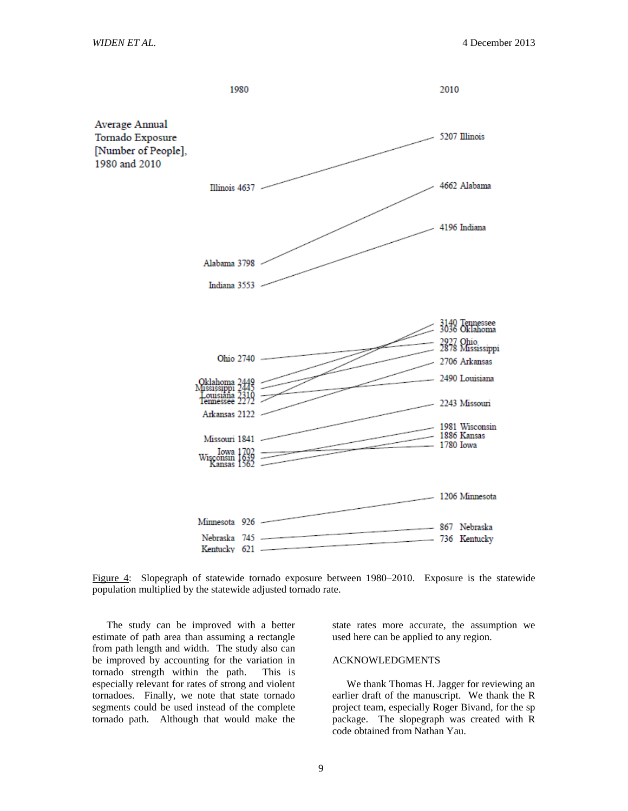

Figure 4: Slopegraph of statewide tornado exposure between 1980–2010. Exposure is the statewide population multiplied by the statewide adjusted tornado rate.

The study can be improved with a better estimate of path area than assuming a rectangle from path length and width. The study also can be improved by accounting for the variation in tornado strength within the path. This is especially relevant for rates of strong and violent tornadoes. Finally, we note that state tornado segments could be used instead of the complete tornado path. Although that would make the state rates more accurate, the assumption we used here can be applied to any region.

#### ACKNOWLEDGMENTS

We thank Thomas H. Jagger for reviewing an earlier draft of the manuscript. We thank the R project team, especially Roger Bivand, for the sp package. The slopegraph was created with R code obtained from Nathan Yau.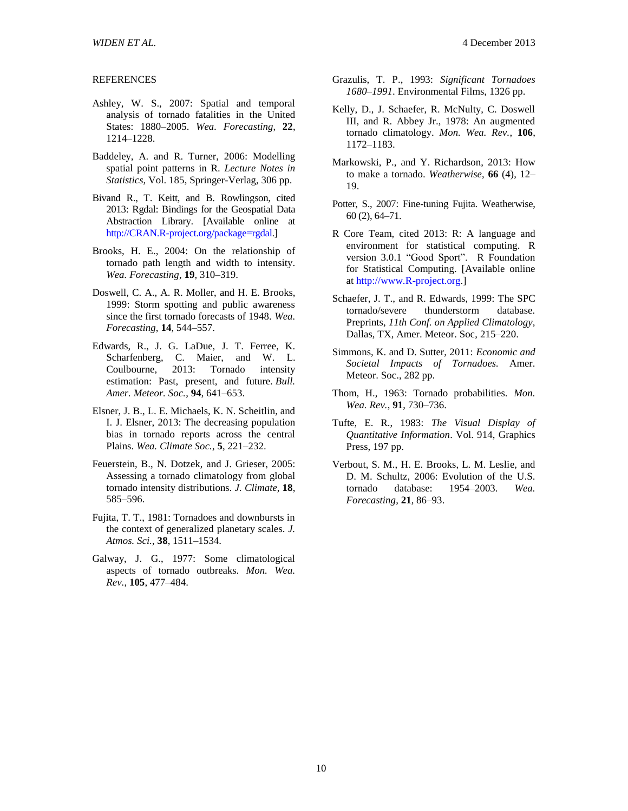#### **REFERENCES**

- Ashley, W. S., 2007: Spatial and temporal analysis of tornado fatalities in the United States: 1880–2005. *Wea. Forecasting*, **22**, 1214–1228.
- Baddeley, A. and R. Turner, 2006: Modelling spatial point patterns in R. *Lecture Notes in Statistics*, Vol. 185, Springer-Verlag, 306 pp.
- Bivand R., T. Keitt, and B. Rowlingson, cited 2013: Rgdal: Bindings for the Geospatial Data Abstraction Library. [Available online at [http://CRAN.R-project.org/package=rgdal.\]](http://cran.r-project.org/package=rgdal)
- Brooks, H. E., 2004: On the relationship of tornado path length and width to intensity. *Wea. Forecasting*, **19**, 310–319.
- Doswell, C. A., A. R. Moller, and H. E. Brooks, 1999: Storm spotting and public awareness since the first tornado forecasts of 1948. *Wea. Forecasting*, **14**, 544–557.
- Edwards, R., J. G. LaDue, J. T. Ferree, K. Scharfenberg, C. Maier, and W. L. Coulbourne, 2013: Tornado intensity estimation: Past, present, and future. *Bull. Amer. Meteor. Soc.*, **94**, 641–653.
- Elsner, J. B., L. E. Michaels, K. N. Scheitlin, and I. J. Elsner, 2013: The decreasing population bias in tornado reports across the central Plains. *Wea. Climate Soc.*, **5**, 221–232.
- Feuerstein, B., N. Dotzek, and J. Grieser, 2005: Assessing a tornado climatology from global tornado intensity distributions. *J. Climate*, **18**, 585–596.
- Fujita, T. T., 1981: Tornadoes and downbursts in the context of generalized planetary scales. *J. Atmos. Sci.*, **38**, 1511–1534.
- Galway, J. G., 1977: Some climatological aspects of tornado outbreaks. *Mon. Wea. Rev.*, **105**, 477–484.
- Grazulis, T. P., 1993: *Significant Tornadoes 1680–1991*. Environmental Films, 1326 pp.
- Kelly, D., J. Schaefer, R. McNulty, C. Doswell III, and R. Abbey Jr., 1978: An augmented tornado climatology. *Mon. Wea. Rev.*, **106**, 1172–1183.
- Markowski, P., and Y. Richardson, 2013: How to make a tornado. *Weatherwise*, **66** (4), 12– 19.
- Potter, S., 2007: Fine-tuning Fujita. Weatherwise, 60 (2), 64–71.
- R Core Team, cited 2013: R: A language and environment for statistical computing. R version 3.0.1 "Good Sport". R Foundation for Statistical Computing. [Available online at [http://www.R-project.org.](http://www.r-project.org/)]
- Schaefer, J. T., and R. Edwards, 1999: The SPC tornado/severe thunderstorm database. Preprints, *11th Conf. on Applied Climatology,*  Dallas, TX, Amer. Meteor. Soc, 215–220.
- Simmons, K. and D. Sutter, 2011: *Economic and Societal Impacts of Tornadoes.* Amer. Meteor. Soc., 282 pp.
- Thom, H., 1963: Tornado probabilities. *Mon. Wea. Rev.*, **91**, 730–736.
- Tufte, E. R., 1983: *The Visual Display of Quantitative Information*. Vol. 914, Graphics Press, 197 pp.
- Verbout, S. M., H. E. Brooks, L. M. Leslie, and D. M. Schultz, 2006: Evolution of the U.S. tornado database: 1954–2003. *Wea. Forecasting*, **21**, 86–93.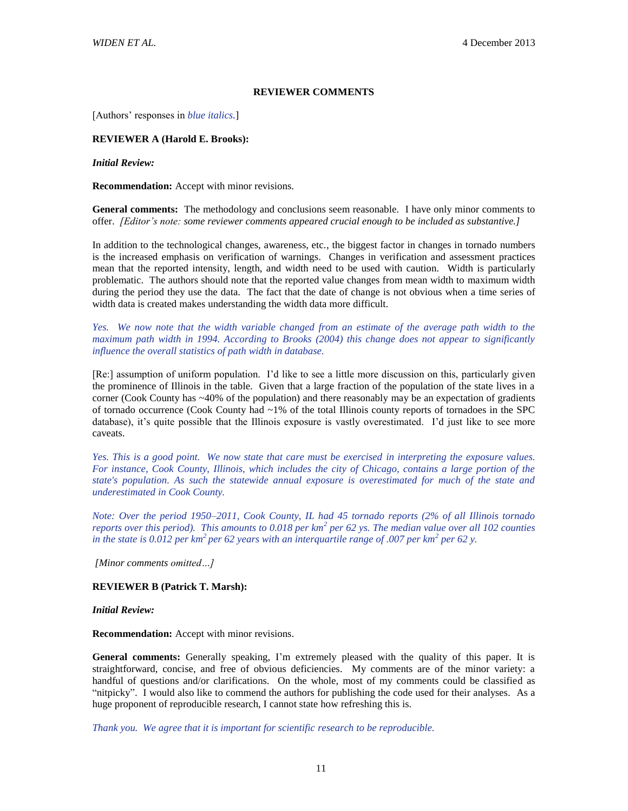#### **REVIEWER COMMENTS**

[Authors' responses in *blue italics.*]

#### **REVIEWER A (Harold E. Brooks):**

*Initial Review:* 

**Recommendation:** Accept with minor revisions.

**General comments:** The methodology and conclusions seem reasonable. I have only minor comments to offer. *[Editor's note: some reviewer comments appeared crucial enough to be included as substantive.]*

In addition to the technological changes, awareness, etc., the biggest factor in changes in tornado numbers is the increased emphasis on verification of warnings. Changes in verification and assessment practices mean that the reported intensity, length, and width need to be used with caution. Width is particularly problematic. The authors should note that the reported value changes from mean width to maximum width during the period they use the data. The fact that the date of change is not obvious when a time series of width data is created makes understanding the width data more difficult.

*Yes. We now note that the width variable changed from an estimate of the average path width to the maximum path width in 1994. According to Brooks (2004) this change does not appear to significantly influence the overall statistics of path width in database.*

[Re:] assumption of uniform population. I'd like to see a little more discussion on this, particularly given the prominence of Illinois in the table. Given that a large fraction of the population of the state lives in a corner (Cook County has ~40% of the population) and there reasonably may be an expectation of gradients of tornado occurrence (Cook County had ~1% of the total Illinois county reports of tornadoes in the SPC database), it's quite possible that the Illinois exposure is vastly overestimated. I'd just like to see more caveats.

*Yes. This is a good point. We now state that care must be exercised in interpreting the exposure values. For instance, Cook County, Illinois, which includes the city of Chicago, contains a large portion of the state's population. As such the statewide annual exposure is overestimated for much of the state and underestimated in Cook County.*

*Note: Over the period 1950–2011, Cook County, IL had 45 tornado reports (2% of all Illinois tornado reports over this period). This amounts to 0.018 per km<sup>2</sup> per 62 ys. The median value over all 102 counties in the state is 0.012 per km<sup>2</sup>per 62 years with an interquartile range of .007 per km<sup>2</sup> per 62 y.*

*[Minor comments omitted…]*

#### **REVIEWER B (Patrick T. Marsh):**

*Initial Review:*

**Recommendation:** Accept with minor revisions.

**General comments:** Generally speaking, I'm extremely pleased with the quality of this paper. It is straightforward, concise, and free of obvious deficiencies. My comments are of the minor variety: a handful of questions and/or clarifications. On the whole, most of my comments could be classified as "nitpicky". I would also like to commend the authors for publishing the code used for their analyses. As a huge proponent of reproducible research, I cannot state how refreshing this is.

*Thank you. We agree that it is important for scientific research to be reproducible.*